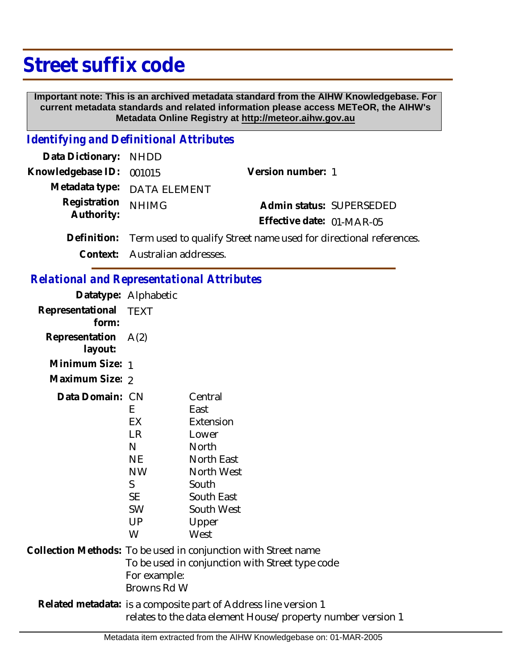# **Street suffix code**

 **Important note: This is an archived metadata standard from the AIHW Knowledgebase. For current metadata standards and related information please access METeOR, the AIHW's Metadata Online Registry at http://meteor.aihw.gov.au**

### *Identifying and Definitional Attributes*

| Data Dictionary: NHDD      |                                                                               |                           |  |
|----------------------------|-------------------------------------------------------------------------------|---------------------------|--|
| Knowledgebase ID: 001015   |                                                                               | Version number: 1         |  |
|                            | Metadata type: DATA ELEMENT                                                   |                           |  |
| Registration<br>Authority: | <b>NHIMG</b>                                                                  | Admin status: SUPERSEDED  |  |
|                            |                                                                               | Effective date: 01-MAR-05 |  |
|                            | Definition: Term used to qualify Street name used for directional references. |                           |  |
|                            | Context: Australian addresses.                                                |                           |  |

#### *Relational and Representational Attributes*

|                           | Datatype: Alphabetic                                                                                                                             |                                                                                                                                                |
|---------------------------|--------------------------------------------------------------------------------------------------------------------------------------------------|------------------------------------------------------------------------------------------------------------------------------------------------|
| Representational<br>form: | <b>TEXT</b>                                                                                                                                      |                                                                                                                                                |
| Representation<br>layout: | A(2)                                                                                                                                             |                                                                                                                                                |
| Minimum Size: 1           |                                                                                                                                                  |                                                                                                                                                |
| Maximum Size: 2           |                                                                                                                                                  |                                                                                                                                                |
| Data Domain: CN           | E.<br>EX<br><b>LR</b><br>$\mathsf{N}$<br><b>NE</b><br><b>NW</b><br>$\mathsf{S}$<br><b>SE</b><br><b>SW</b><br><b>UP</b><br>W                      | Central<br>East<br>Extension<br>Lower<br><b>North</b><br><b>North East</b><br>North West<br>South<br>South East<br>South West<br>Upper<br>West |
|                           | Collection Methods: To be used in conjunction with Street name<br>To be used in conjunction with Street type code<br>For example:<br>Browns Rd W |                                                                                                                                                |
|                           | Related metadata: is a composite part of Address line version 1<br>relates to the data element House/property number version 1                   |                                                                                                                                                |